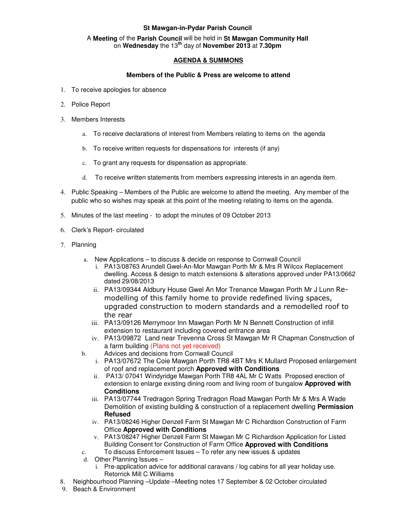## **St Mawgan-in-Pydar Parish Council**

## A **Meeting** of the **Parish Council** will be held in **St Mawgan Community Hall** on **Wednesday** the 13**th** day of **November 2013** at **7.30pm**

## **AGENDA & SUMMONS**

## **Members of the Public & Press are welcome to attend**

- 1. To receive apologies for absence
- 2. Police Report
- 3. Members Interests
	- a. To receive declarations of interest from Members relating to items on the agenda
	- b. To receive written requests for dispensations for interests (if any)
	- c. To grant any requests for dispensation as appropriate.
	- d. To receive written statements from members expressing interests in an agenda item.
- 4. Public Speaking Members of the Public are welcome to attend the meeting. Any member of the public who so wishes may speak at this point of the meeting relating to items on the agenda.
- 5. Minutes of the last meeting to adopt the minutes of 09 October 2013
- 6. Clerk's Report- circulated
- 7. Planning
	- a. New Applications to discuss & decide on response to Cornwall Council
		- i. PA13/08763 Arundell Gwel-An-Mor Mawgan Porth Mr & Mrs R Wilcox Replacement dwelling. Access & design to match extensions & alterations approved under PA13/0662 dated 29/08/2013
		- ii. PA13/09344 Aldbury House Gwel An Mor Trenance Mawgan Porth Mr J Lunn Remodelling of this family home to provide redefined living spaces, upgraded construction to modern standards and a remodelled roof to the rear
		- iii. PA13/09126 Merrymoor Inn Mawgan Porth Mr N Bennett Construction of infill extension to restaurant including covered entrance area
		- iv. PA13/09872 Land near Trevenna Cross St Mawgan Mr R Chapman Construction of a farm building (Plans not yet received)
	- b. Advices and decisions from Cornwall Council
		- i. PA13/07672 The Coie Mawgan Porth TR8 4BT Mrs K Mullard Proposed enlargement of roof and replacement porch **Approved with Conditions**
		- ii. PA13/ 07041 Windyridge Mawgan Porth TR8 4AL Mr C Watts Proposed erection of extension to enlarge existing dining room and living room of bungalow **Approved with Conditions**
		- iii. PA13/07744 Tredragon Spring Tredragon Road Mawgan Porth Mr & Mrs A Wade Demolition of existing building & construction of a replacement dwelling **Permission Refused**
		- iv. PA13/08246 Higher Denzell Farm St Mawgan Mr C Richardson Construction of Farm Office **Approved with Conditions**
		- v. PA13/08247 Higher Denzell Farm St Mawgan Mr C Richardson Application for Listed Building Consent for Construction of Farm Office **Approved with Conditions**
	- c. To discuss Enforcement Issues To refer any new issues & updates
	- d. Other Planning Issues
		- i. Pre-application advice for additional caravans / log cabins for all year holiday use. Retorrick Mill C Williams
- 8. Neighbourhood Planning –Update –Meeting notes 17 September & 02 October circulated
- 9. Beach & Environment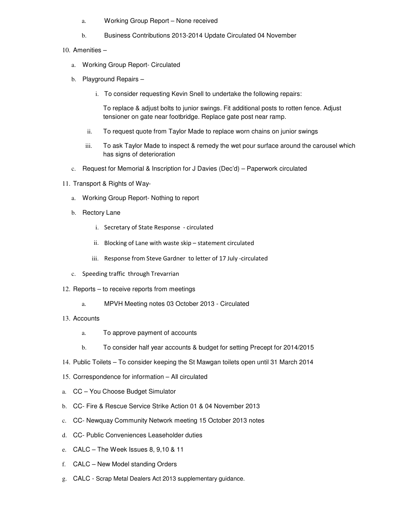- a. Working Group Report None received
- b. Business Contributions 2013-2014 Update Circulated 04 November
- 10. Amenities
	- a. Working Group Report- Circulated
	- b. Playground Repairs
		- i. To consider requesting Kevin Snell to undertake the following repairs:

To replace & adjust bolts to junior swings. Fit additional posts to rotten fence. Adjust tensioner on gate near footbridge. Replace gate post near ramp.

- ii. To request quote from Taylor Made to replace worn chains on junior swings
- iii. To ask Taylor Made to inspect & remedy the wet pour surface around the carousel which has signs of deterioration
- c. Request for Memorial & Inscription for J Davies (Dec'd) Paperwork circulated
- 11. Transport & Rights of Way
	- a. Working Group Report- Nothing to report
	- b. Rectory Lane
		- i. Secretary of State Response circulated
		- ii. Blocking of Lane with waste skip statement circulated
		- iii. Response from Steve Gardner to letter of 17 July -circulated
	- c. Speeding traffic through Trevarrian
- 12. Reports to receive reports from meetings
	- a. MPVH Meeting notes 03 October 2013 Circulated
- 13. Accounts
	- a. To approve payment of accounts
	- b. To consider half year accounts & budget for setting Precept for 2014/2015
- 14. Public Toilets To consider keeping the St Mawgan toilets open until 31 March 2014
- 15. Correspondence for information All circulated
- a. CC You Choose Budget Simulator
- b. CC- Fire & Rescue Service Strike Action 01 & 04 November 2013
- c. CC- Newquay Community Network meeting 15 October 2013 notes
- d. CC- Public Conveniences Leaseholder duties
- e. CALC The Week Issues 8, 9,10 & 11
- f. CALC New Model standing Orders
- g. CALC Scrap Metal Dealers Act 2013 supplementary guidance.